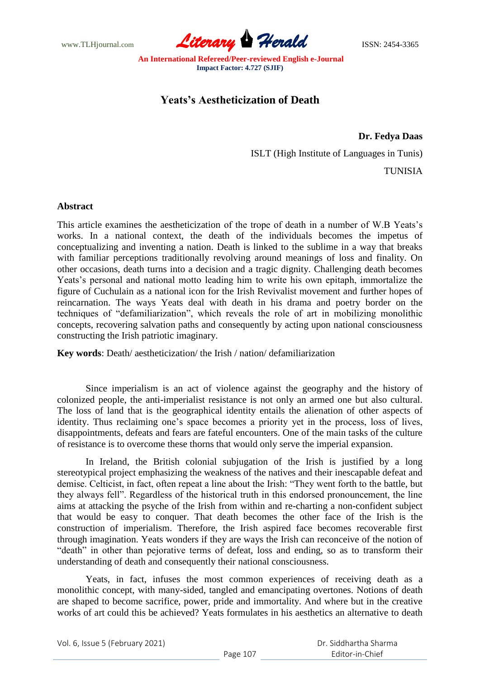www.TLHjournal.com **Literary Herald ISSN: 2454-3365** 

# **Yeats's Aestheticization of Death**

## **Dr. Fedya Daas**

ISLT (High Institute of Languages in Tunis)

TUNISIA

### **Abstract**

This article examines the aestheticization of the trope of death in a number of W.B Yeats's works. In a national context, the death of the individuals becomes the impetus of conceptualizing and inventing a nation. Death is linked to the sublime in a way that breaks with familiar perceptions traditionally revolving around meanings of loss and finality. On other occasions, death turns into a decision and a tragic dignity. Challenging death becomes Yeats's personal and national motto leading him to write his own epitaph, immortalize the figure of Cuchulain as a national icon for the Irish Revivalist movement and further hopes of reincarnation. The ways Yeats deal with death in his drama and poetry border on the techniques of "defamiliarization", which reveals the role of art in mobilizing monolithic concepts, recovering salvation paths and consequently by acting upon national consciousness constructing the Irish patriotic imaginary.

**Key words**: Death/ aestheticization/ the Irish / nation/ defamiliarization

Since imperialism is an act of violence against the geography and the history of colonized people, the anti-imperialist resistance is not only an armed one but also cultural. The loss of land that is the geographical identity entails the alienation of other aspects of identity. Thus reclaiming one's space becomes a priority yet in the process, loss of lives, disappointments, defeats and fears are fateful encounters. One of the main tasks of the culture of resistance is to overcome these thorns that would only serve the imperial expansion.

In Ireland, the British colonial subjugation of the Irish is justified by a long stereotypical project emphasizing the weakness of the natives and their inescapable defeat and demise. Celticist, in fact, often repeat a line about the Irish: "They went forth to the battle, but they always fell". Regardless of the historical truth in this endorsed pronouncement, the line aims at attacking the psyche of the Irish from within and re-charting a non-confident subject that would be easy to conquer. That death becomes the other face of the Irish is the construction of imperialism. Therefore, the Irish aspired face becomes recoverable first through imagination. Yeats wonders if they are ways the Irish can reconceive of the notion of "death" in other than pejorative terms of defeat, loss and ending, so as to transform their understanding of death and consequently their national consciousness.

Yeats, in fact, infuses the most common experiences of receiving death as a monolithic concept, with many-sided, tangled and emancipating overtones. Notions of death are shaped to become sacrifice, power, pride and immortality. And where but in the creative works of art could this be achieved? Yeats formulates in his aesthetics an alternative to death

Vol. 6, Issue 5 (February 2021)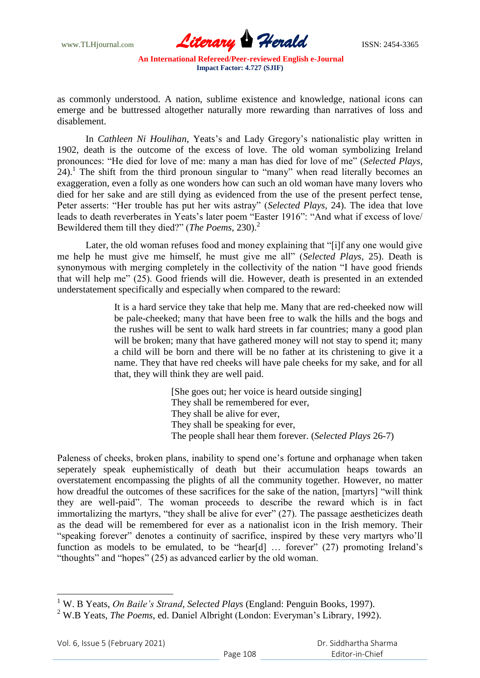www.TLHjournal.com **Literary Herald Herald** ISSN: 2454-3365

as commonly understood. A nation, sublime existence and knowledge, national icons can emerge and be buttressed altogether naturally more rewarding than narratives of loss and disablement.

In *Cathleen Ni Houlihan*, Yeats's and Lady Gregory's nationalistic play written in 1902, death is the outcome of the excess of love. The old woman symbolizing Ireland pronounces: "He died for love of me: many a man has died for love of me" (*Selected Plays*, 24).<sup>1</sup> The shift from the third pronoun singular to "many" when read literally becomes an exaggeration, even a folly as one wonders how can such an old woman have many lovers who died for her sake and are still dying as evidenced from the use of the present perfect tense, Peter asserts: "Her trouble has put her wits astray" (*Selected Plays*, 24). The idea that love leads to death reverberates in Yeats's later poem "Easter 1916": "And what if excess of love/ Bewildered them till they died?" (*The Poems*, 230).<sup>2</sup>

Later, the old woman refuses food and money explaining that "[i]f any one would give me help he must give me himself, he must give me all‖ (*Selected Plays*, 25). Death is synonymous with merging completely in the collectivity of the nation "I have good friends that will help me" (25). Good friends will die. However, death is presented in an extended understatement specifically and especially when compared to the reward:

> It is a hard service they take that help me. Many that are red-cheeked now will be pale-cheeked; many that have been free to walk the hills and the bogs and the rushes will be sent to walk hard streets in far countries; many a good plan will be broken; many that have gathered money will not stay to spend it; many a child will be born and there will be no father at its christening to give it a name. They that have red cheeks will have pale cheeks for my sake, and for all that, they will think they are well paid.

> > [She goes out; her voice is heard outside singing] They shall be remembered for ever, They shall be alive for ever, They shall be speaking for ever, The people shall hear them forever. (*Selected Plays* 26-7)

Paleness of cheeks, broken plans, inability to spend one's fortune and orphanage when taken seperately speak euphemistically of death but their accumulation heaps towards an overstatement encompassing the plights of all the community together. However, no matter how dreadful the outcomes of these sacrifices for the sake of the nation, [martyrs] "will think they are well-paid". The woman proceeds to describe the reward which is in fact immortalizing the martyrs, "they shall be alive for ever"  $(27)$ . The passage aestheticizes death as the dead will be remembered for ever as a nationalist icon in the Irish memory. Their "speaking forever" denotes a continuity of sacrifice, inspired by these very martyrs who'll function as models to be emulated, to be "hear[d]  $\ldots$  forever" (27) promoting Ireland's "thoughts" and "hopes"  $(25)$  as advanced earlier by the old woman.

 $\overline{\phantom{a}}$ <sup>1</sup> W. B Yeats, *On Baile's Strand*, *Selected Plays* (England: Penguin Books, 1997).

<sup>2</sup> W.B Yeats, *The Poems*, ed. Daniel Albright (London: Everyman's Library, 1992).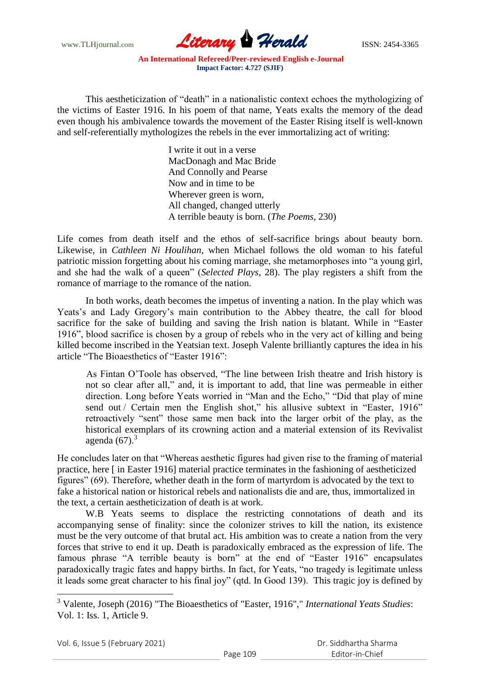www.TLHjournal.com **Literary Herald Herald** ISSN: 2454-3365

This aestheticization of "death" in a nationalistic context echoes the mythologizing of the victims of Easter 1916. In his poem of that name, Yeats exalts the memory of the dead even though his ambivalence towards the movement of the Easter Rising itself is well-known and self-referentially mythologizes the rebels in the ever immortalizing act of writing:

> I write it out in a verse MacDonagh and Mac Bride And Connolly and Pearse Now and in time to be Wherever green is worn, All changed, changed utterly A terrible beauty is born. (*The Poems*, 230)

Life comes from death itself and the ethos of self-sacrifice brings about beauty born. Likewise, in *Cathleen Ni Houlihan*, when Michael follows the old woman to his fateful patriotic mission forgetting about his coming marriage, she metamorphoses into "a young girl, and she had the walk of a queen" (*Selected Plays*, 28). The play registers a shift from the romance of marriage to the romance of the nation.

In both works, death becomes the impetus of inventing a nation. In the play which was Yeats's and Lady Gregory's main contribution to the Abbey theatre, the call for blood sacrifice for the sake of building and saving the Irish nation is blatant. While in "Easter" 1916", blood sacrifice is chosen by a group of rebels who in the very act of killing and being killed become inscribed in the Yeatsian text. Joseph Valente brilliantly captures the idea in his article "The Bioaesthetics of "Easter 1916":

As Fintan O'Toole has observed, "The line between Irish theatre and Irish history is not so clear after all," and, it is important to add, that line was permeable in either direction. Long before Yeats worried in "Man and the Echo," "Did that play of mine send out / Certain men the English shot," his allusive subtext in "Easter, 1916" retroactively "sent" those same men back into the larger orbit of the play, as the historical exemplars of its crowning action and a material extension of its Revivalist agenda  $(67)$ .<sup>3</sup>

He concludes later on that "Whereas aesthetic figures had given rise to the framing of material practice, here [ in Easter 1916] material practice terminates in the fashioning of aestheticized figures" (69). Therefore, whether death in the form of martyrdom is advocated by the text to fake a historical nation or historical rebels and nationalists die and are, thus, immortalized in the text, a certain aestheticization of death is at work.

W.B Yeats seems to displace the restricting connotations of death and its accompanying sense of finality: since the colonizer strives to kill the nation, its existence must be the very outcome of that brutal act. His ambition was to create a nation from the very forces that strive to end it up. Death is paradoxically embraced as the expression of life. The famous phrase "A terrible beauty is born" at the end of "Easter 1916" encapsulates paradoxically tragic fates and happy births. In fact, for Yeats, "no tragedy is legitimate unless it leads some great character to his final joy" (qtd. In Good 139). This tragic joy is defined by

<sup>3</sup> Valente, Joseph (2016) "The Bioaesthetics of "Easter, 1916"," *International Yeats Studies*: Vol. 1: Iss. 1, Article 9.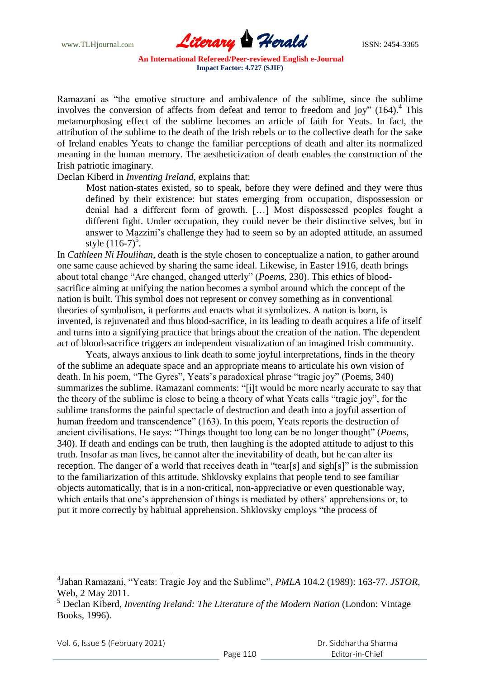

Ramazani as "the emotive structure and ambivalence of the sublime, since the sublime involves the conversion of affects from defeat and terror to freedom and joy"  $(164)$ .<sup>4</sup> This metamorphosing effect of the sublime becomes an article of faith for Yeats. In fact, the attribution of the sublime to the death of the Irish rebels or to the collective death for the sake of Ireland enables Yeats to change the familiar perceptions of death and alter its normalized meaning in the human memory. The aestheticization of death enables the construction of the Irish patriotic imaginary.

#### Declan Kiberd in *Inventing Ireland*, explains that:

 Most nation-states existed, so to speak, before they were defined and they were thus defined by their existence: but states emerging from occupation, dispossession or denial had a different form of growth. […] Most dispossessed peoples fought a different fight. Under occupation, they could never be their distinctive selves, but in answer to Mazzini's challenge they had to seem so by an adopted attitude, an assumed style  $(116-7)^5$ .

In *Cathleen Ni Houlihan*, death is the style chosen to conceptualize a nation, to gather around one same cause achieved by sharing the same ideal. Likewise, in Easter 1916, death brings about total change "Are changed, changed utterly" (*Poems*, 230). This ethics of bloodsacrifice aiming at unifying the nation becomes a symbol around which the concept of the nation is built. This symbol does not represent or convey something as in conventional theories of symbolism, it performs and enacts what it symbolizes. A nation is born, is invented, is rejuvenated and thus blood-sacrifice, in its leading to death acquires a life of itself and turns into a signifying practice that brings about the creation of the nation. The dependent act of blood-sacrifice triggers an independent visualization of an imagined Irish community.

Yeats, always anxious to link death to some joyful interpretations, finds in the theory of the sublime an adequate space and an appropriate means to articulate his own vision of death. In his poem, "The Gyres", Yeats's paradoxical phrase "tragic joy" (Poems, 340) summarizes the sublime. Ramazani comments: "[i]t would be more nearly accurate to say that the theory of the sublime is close to being a theory of what Yeats calls "tragic joy", for the sublime transforms the painful spectacle of destruction and death into a joyful assertion of human freedom and transcendence" (163). In this poem, Yeats reports the destruction of ancient civilisations. He says: "Things thought too long can be no longer thought" (*Poems*, 340). If death and endings can be truth, then laughing is the adopted attitude to adjust to this truth. Insofar as man lives, he cannot alter the inevitability of death, but he can alter its reception. The danger of a world that receives death in "tear[s] and sigh[s]" is the submission to the familiarization of this attitude. Shklovsky explains that people tend to see familiar objects automatically, that is in a non-critical, non-appreciative or even questionable way, which entails that one's apprehension of things is mediated by others' apprehensions or, to put it more correctly by habitual apprehension. Shklovsky employs "the process of

Vol. 6, Issue 5 (February 2021)

<sup>&</sup>lt;sup>4</sup>Jahan Ramazani, "Yeats: Tragic Joy and the Sublime", *PMLA* 104.2 (1989): 163-77. *JSTOR*, Web, 2 May 2011.

<sup>5</sup> Declan Kiberd, *Inventing Ireland: The Literature of the Modern Nation* (London: Vintage Books, 1996).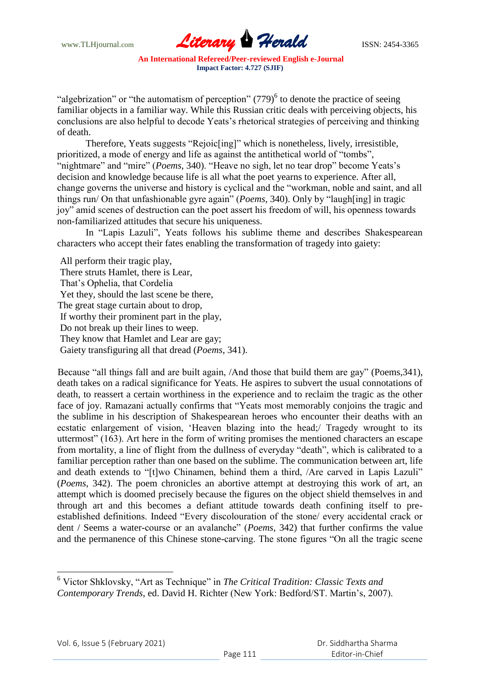www.TLHjournal.com **Literary Herald ISSN: 2454-3365** 

"algebrization" or "the automatism of perception"  $(779)^6$  to denote the practice of seeing familiar objects in a familiar way. While this Russian critic deals with perceiving objects, his conclusions are also helpful to decode Yeats's rhetorical strategies of perceiving and thinking of death.

Therefore, Yeats suggests "Rejoic[ing]" which is nonetheless, lively, irresistible, prioritized, a mode of energy and life as against the antithetical world of "tombs", "nightmare" and "mire" (*Poems*, 340). "Heave no sigh, let no tear drop" become Yeats's decision and knowledge because life is all what the poet yearns to experience. After all, change governs the universe and history is cyclical and the "workman, noble and saint, and all things run/ On that unfashionable gyre again" (*Poems*, 340). Only by "laugh[ing] in tragic joy" amid scenes of destruction can the poet assert his freedom of will, his openness towards non-familiarized attitudes that secure his uniqueness.

In "Lapis Lazuli", Yeats follows his sublime theme and describes Shakespearean characters who accept their fates enabling the transformation of tragedy into gaiety:

 All perform their tragic play, There struts Hamlet, there is Lear, That's Ophelia, that Cordelia Yet they, should the last scene be there, The great stage curtain about to drop, If worthy their prominent part in the play, Do not break up their lines to weep. They know that Hamlet and Lear are gay; Gaiety transfiguring all that dread (*Poems*, 341).

Because "all things fall and are built again, /And those that build them are gay" (Poems, 341), death takes on a radical significance for Yeats. He aspires to subvert the usual connotations of death, to reassert a certain worthiness in the experience and to reclaim the tragic as the other face of joy. Ramazani actually confirms that "Yeats most memorably conjoins the tragic and the sublime in his description of Shakespearean heroes who encounter their deaths with an ecstatic enlargement of vision, 'Heaven blazing into the head;/ Tragedy wrought to its uttermost" (163). Art here in the form of writing promises the mentioned characters an escape from mortality, a line of flight from the dullness of everyday "death", which is calibrated to a familiar perception rather than one based on the sublime. The communication between art, life and death extends to "[t]wo Chinamen, behind them a third, /Are carved in Lapis Lazuli" (*Poems*, 342). The poem chronicles an abortive attempt at destroying this work of art, an attempt which is doomed precisely because the figures on the object shield themselves in and through art and this becomes a defiant attitude towards death confining itself to preestablished definitions. Indeed "Every discolouration of the stone/ every accidental crack or dent / Seems a water-course or an avalanche" (*Poems*, 342) that further confirms the value and the permanence of this Chinese stone-carving. The stone figures "On all the tragic scene"

<sup>&</sup>lt;sup>6</sup> Victor Shklovsky, "Art as Technique" in *The Critical Tradition: Classic Texts and Contemporary Trends*, ed. David H. Richter (New York: Bedford/ST. Martin's, 2007).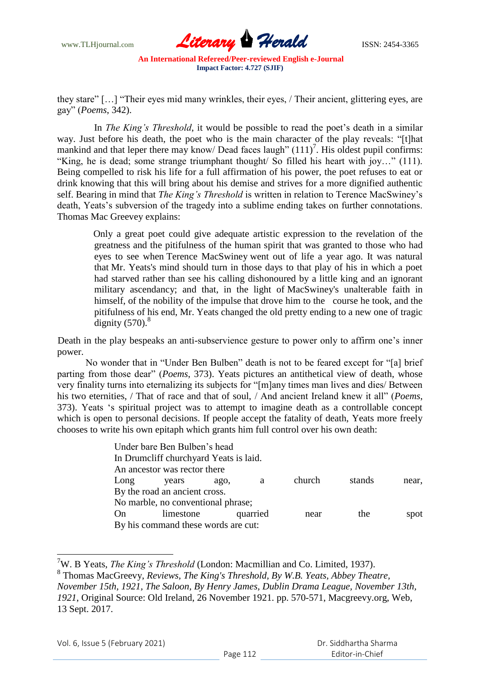

they stare" [...] "Their eyes mid many wrinkles, their eyes, / Their ancient, glittering eyes, are gay‖ (*Poems*, 342).

 In *The King's Threshold*, it would be possible to read the poet's death in a similar way. Just before his death, the poet who is the main character of the play reveals: "[t]hat mankind and that leper there may know/ Dead faces laugh"  $(111)^7$ . His oldest pupil confirms: "King, he is dead; some strange triumphant thought/ So filled his heart with joy..." (111). Being compelled to risk his life for a full affirmation of his power, the poet refuses to eat or drink knowing that this will bring about his demise and strives for a more dignified authentic self. Bearing in mind that *The King's Threshold* is written in relation to Terence MacSwiney's death, Yeats's subversion of the tragedy into a sublime ending takes on further connotations. Thomas Mac Greevey explains:

 Only a great poet could give adequate artistic expression to the revelation of the greatness and the pitifulness of the human spirit that was granted to those who had eyes to see when Terence MacSwiney went out of life a year ago. It was natural that Mr. Yeats's mind should turn in those days to that play of his in which a poet had starved rather than see his calling dishonoured by a little king and an ignorant military ascendancy; and that, in the light of MacSwiney's unalterable faith in himself, of the nobility of the impulse that drove him to the course he took, and the pitifulness of his end, Mr. Yeats changed the old pretty ending to a new one of tragic dignity  $(570)^8$ 

 Death in the play bespeaks an anti-subservience gesture to power only to affirm one's inner power.

No wonder that in "Under Ben Bulben" death is not to be feared except for "[a] brief parting from those dear" (*Poems*, 373). Yeats pictures an antithetical view of death, whose very finality turns into eternalizing its subjects for "[m]any times man lives and dies/ Between his two eternities, / That of race and that of soul, / And ancient Ireland knew it all" (*Poems*, 373). Yeats ‗s spiritual project was to attempt to imagine death as a controllable concept which is open to personal decisions. If people accept the fatality of death, Yeats more freely chooses to write his own epitaph which grants him full control over his own death:

|      | Under bare Ben Bulben's head           |      |          |        |        |       |
|------|----------------------------------------|------|----------|--------|--------|-------|
|      | In Drumcliff churchyard Yeats is laid. |      |          |        |        |       |
|      | An ancestor was rector there           |      |          |        |        |       |
| Long | years                                  | ago. | a        | church | stands | near, |
|      | By the road an ancient cross.          |      |          |        |        |       |
|      | No marble, no conventional phrase;     |      |          |        |        |       |
| On   | limestone                              |      | quarried | near   | the    | spot  |
|      | By his command these words are cut:    |      |          |        |        |       |

<sup>7</sup>W. B Yeats, *The King's Threshold* (London: Macmillian and Co. Limited, 1937).

<sup>8</sup> Thomas MacGreevy, *Reviews, The King's Threshold, By W.B. Yeats, Abbey Theatre, November 15th, 1921, The Saloon, By Henry James, Dublin Drama League, November 13th, 1921*, Original Source: Old Ireland, 26 November 1921. pp. 570-571, Macgreevy.org, Web, 13 Sept. 2017.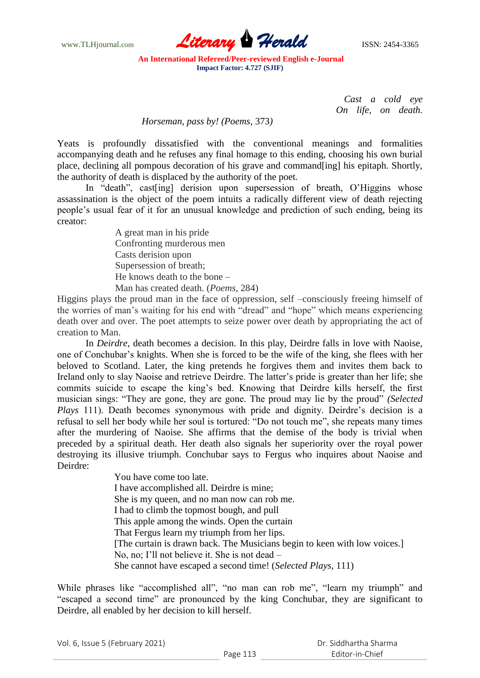

> *Cast a cold eye On life, on death.*

## *Horseman, pass by! (Poems*, 373*)*

Yeats is profoundly dissatisfied with the conventional meanings and formalities accompanying death and he refuses any final homage to this ending, choosing his own burial place, declining all pompous decoration of his grave and command[ing] his epitaph. Shortly, the authority of death is displaced by the authority of the poet.

In "death", cast [ing] derision upon supersession of breath, O'Higgins whose assassination is the object of the poem intuits a radically different view of death rejecting people's usual fear of it for an unusual knowledge and prediction of such ending, being its creator:

> A great man in his pride Confronting murderous men Casts derision upon Supersession of breath; He knows death to the bone – Man has created death. (*Poems*, 284)

Higgins plays the proud man in the face of oppression, self –consciously freeing himself of the worries of man's waiting for his end with "dread" and "hope" which means experiencing death over and over. The poet attempts to seize power over death by appropriating the act of creation to Man.

In *Deirdre*, death becomes a decision. In this play, Deirdre falls in love with Naoise, one of Conchubar's knights. When she is forced to be the wife of the king, she flees with her beloved to Scotland. Later, the king pretends he forgives them and invites them back to Ireland only to slay Naoise and retrieve Deirdre. The latter's pride is greater than her life; she commits suicide to escape the king's bed. Knowing that Deirdre kills herself, the first musician sings: "They are gone, they are gone. The proud may lie by the proud" *(Selected Plays* 111). Death becomes synonymous with pride and dignity. Deirdre's decision is a refusal to sell her body while her soul is tortured: "Do not touch me", she repeats many times after the murdering of Naoise. She affirms that the demise of the body is trivial when preceded by a spiritual death. Her death also signals her superiority over the royal power destroying its illusive triumph. Conchubar says to Fergus who inquires about Naoise and Deirdre:

> You have come too late. I have accomplished all. Deirdre is mine; She is my queen, and no man now can rob me. I had to climb the topmost bough, and pull This apple among the winds. Open the curtain That Fergus learn my triumph from her lips. [The curtain is drawn back. The Musicians begin to keen with low voices.] No, no; I'll not believe it. She is not dead – She cannot have escaped a second time! (*Selected Plays*, 111)

While phrases like "accomplished all", "no man can rob me", "learn my triumph" and "escaped a second time" are pronounced by the king Conchubar, they are significant to Deirdre, all enabled by her decision to kill herself.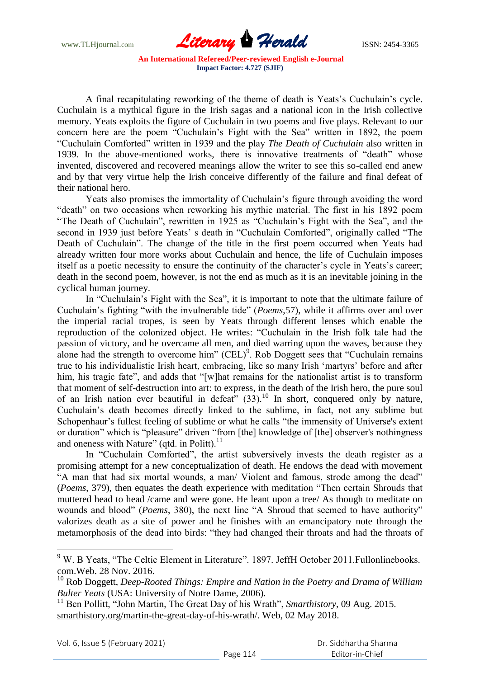

A final recapitulating reworking of the theme of death is Yeats's Cuchulain's cycle. Cuchulain is a mythical figure in the Irish sagas and a national icon in the Irish collective memory. Yeats exploits the figure of Cuchulain in two poems and five plays. Relevant to our concern here are the poem "Cuchulain's Fight with the Sea" written in 1892, the poem ―Cuchulain Comforted‖ written in 1939 and the play *The Death of Cuchulain* also written in 1939. In the above-mentioned works, there is innovative treatments of "death" whose invented, discovered and recovered meanings allow the writer to see this so-called end anew and by that very virtue help the Irish conceive differently of the failure and final defeat of their national hero.

Yeats also promises the immortality of Cuchulain's figure through avoiding the word "death" on two occasions when reworking his mythic material. The first in his 1892 poem "The Death of Cuchulain", rewritten in 1925 as "Cuchulain's Fight with the Sea", and the second in 1939 just before Yeats' s death in "Cuchulain Comforted", originally called "The Death of Cuchulain". The change of the title in the first poem occurred when Yeats had already written four more works about Cuchulain and hence, the life of Cuchulain imposes itself as a poetic necessity to ensure the continuity of the character's cycle in Yeats's career; death in the second poem, however, is not the end as much as it is an inevitable joining in the cyclical human journey.

In "Cuchulain's Fight with the Sea", it is important to note that the ultimate failure of Cuchulain's fighting "with the invulnerable tide" (*Poems*, 57), while it affirms over and over the imperial racial tropes, is seen by Yeats through different lenses which enable the reproduction of the colonized object. He writes: "Cuchulain in the Irish folk tale had the passion of victory, and he overcame all men, and died warring upon the waves, because they alone had the strength to overcome him"  $(CEL)^9$ . Rob Doggett sees that "Cuchulain remains" true to his individualistic Irish heart, embracing, like so many Irish ‗martyrs' before and after him, his tragic fate", and adds that "[w]hat remains for the nationalist artist is to transform that moment of self-destruction into art: to express, in the death of the Irish hero, the pure soul of an Irish nation ever beautiful in defeat"  $(33)$ .<sup>10</sup> In short, conquered only by nature, Cuchulain's death becomes directly linked to the sublime, in fact, not any sublime but Schopenhaur's fullest feeling of sublime or what he calls "the immensity of Universe's extent or duration" which is "pleasure" driven "from [the] knowledge of [the] observer's nothingness and oneness with Nature" (qtd. in Politt). $^{11}$ 

In "Cuchulain Comforted", the artist subversively invests the death register as a promising attempt for a new conceptualization of death. He endows the dead with movement "A man that had six mortal wounds, a man/ Violent and famous, strode among the dead" (*Poems*, 379), then equates the death experience with meditation "Then certain Shrouds that muttered head to head /came and were gone. He leant upon a tree/ As though to meditate on wounds and blood" (*Poems*, 380), the next line "A Shroud that seemed to have authority" valorizes death as a site of power and he finishes with an emancipatory note through the metamorphosis of the dead into birds: "they had changed their throats and had the throats of

 $\overline{a}$ 

 $9 \text{ W}$ . B Yeats, "The Celtic Element in Literature". 1897. JeffH October 2011. Fullonlinebooks. com.Web. 28 Nov. 2016.

<sup>10</sup> Rob Doggett, *Deep-Rooted Things: Empire and Nation in the Poetry and Drama of William Bulter Yeats* (USA: University of Notre Dame, 2006).

<sup>&</sup>lt;sup>11</sup> Ben Pollitt, "John Martin, The Great Day of his Wrath", *Smarthistory*, 09 Aug. 2015. smarthistory.org/martin-the-great-day-of-his-wrath/. Web, 02 May 2018.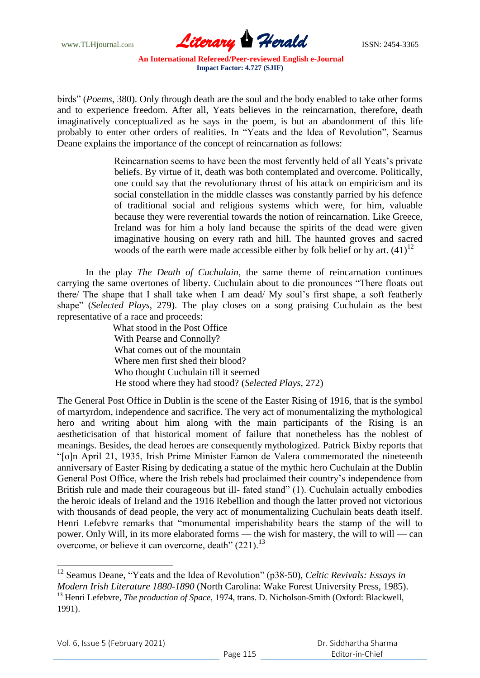

birds" (*Poems*, 380). Only through death are the soul and the body enabled to take other forms and to experience freedom. After all, Yeats believes in the reincarnation, therefore, death imaginatively conceptualized as he says in the poem, is but an abandonment of this life probably to enter other orders of realities. In "Yeats and the Idea of Revolution", Seamus Deane explains the importance of the concept of reincarnation as follows:

> Reincarnation seems to have been the most fervently held of all Yeats's private beliefs. By virtue of it, death was both contemplated and overcome. Politically, one could say that the revolutionary thrust of his attack on empiricism and its social constellation in the middle classes was constantly parried by his defence of traditional social and religious systems which were, for him, valuable because they were reverential towards the notion of reincarnation. Like Greece, Ireland was for him a holy land because the spirits of the dead were given imaginative housing on every rath and hill. The haunted groves and sacred woods of the earth were made accessible either by folk belief or by art.  $(41)^{12}$

In the play *The Death of Cuchulain*, the same theme of reincarnation continues carrying the same overtones of liberty. Cuchulain about to die pronounces "There floats out there/ The shape that I shall take when I am dead/ My soul's first shape, a soft featherly shape" (*Selected Plays, 279*). The play closes on a song praising Cuchulain as the best representative of a race and proceeds:

> What stood in the Post Office With Pearse and Connolly? What comes out of the mountain Where men first shed their blood? Who thought Cuchulain till it seemed He stood where they had stood? (*Selected Plays*, 272)

The General Post Office in Dublin is the scene of the Easter Rising of 1916, that is the symbol of martyrdom, independence and sacrifice. The very act of monumentalizing the mythological hero and writing about him along with the main participants of the Rising is an aestheticisation of that historical moment of failure that nonetheless has the noblest of meanings. Besides, the dead heroes are consequently mythologized. Patrick Bixby reports that ―[o]n April 21, 1935, Irish Prime Minister Eamon de Valera commemorated the nineteenth anniversary of Easter Rising by dedicating a statue of the mythic hero Cuchulain at the Dublin General Post Office, where the Irish rebels had proclaimed their country's independence from British rule and made their courageous but ill- fated stand" (1). Cuchulain actually embodies the heroic ideals of Ireland and the 1916 Rebellion and though the latter proved not victorious with thousands of dead people, the very act of monumentalizing Cuchulain beats death itself. Henri Lefebvre remarks that "monumental imperishability bears the stamp of the will to power. Only Will, in its more elaborated forms — the wish for mastery, the will to will — can overcome, or believe it can overcome, death"  $(221)$ .<sup>13</sup>

 $\overline{a}$ 

<sup>&</sup>lt;sup>12</sup> Seamus Deane, "Yeats and the Idea of Revolution" (p38-50), *Celtic Revivals: Essays in Modern Irish Literature 1880-1890* (North Carolina: Wake Forest University Press, 1985). <sup>13</sup> Henri Lefebvre, *The production of Space*, 1974, trans. D. Nicholson-Smith (Oxford: Blackwell, 1991).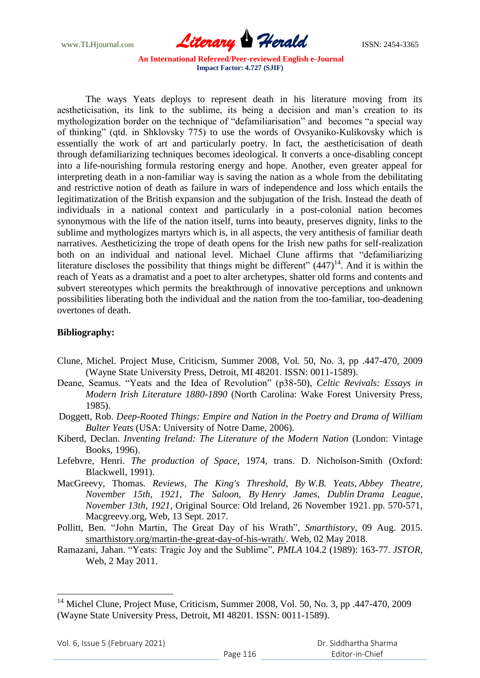www.TLHjournal.com *Literary Herald*ISSN: 2454-3365

The ways Yeats deploys to represent death in his literature moving from its aestheticisation, its link to the sublime, its being a decision and man's creation to its mythologization border on the technique of "defamiliarisation" and becomes "a special way of thinking" (qtd. in Shklovsky 775) to use the words of Ovsyaniko-Kulikovsky which is essentially the work of art and particularly poetry. In fact, the aestheticisation of death through defamiliarizing techniques becomes ideological. It converts a once-disabling concept into a life-nourishing formula restoring energy and hope. Another, even greater appeal for interpreting death in a non-familiar way is saving the nation as a whole from the debilitating and restrictive notion of death as failure in wars of independence and loss which entails the legitimatization of the British expansion and the subjugation of the Irish. Instead the death of individuals in a national context and particularly in a post-colonial nation becomes synonymous with the life of the nation itself, turns into beauty, preserves dignity, links to the sublime and mythologizes martyrs which is, in all aspects, the very antithesis of familiar death narratives. Aestheticizing the trope of death opens for the Irish new paths for self-realization both on an individual and national level. Michael Clune affirms that "defamiliarizing literature discloses the possibility that things might be different"  $(447)^{14}$ . And it is within the reach of Yeats as a dramatist and a poet to alter archetypes, shatter old forms and contents and subvert stereotypes which permits the breakthrough of innovative perceptions and unknown possibilities liberating both the individual and the nation from the too-familiar, too-deadening overtones of death.

#### **Bibliography:**

- Clune, Michel. Project Muse, Criticism, Summer 2008, Vol. 50, No. 3, pp .447-470, 2009 (Wayne State University Press, Detroit, MI 48201. ISSN: 0011-1589).
- Deane, Seamus. "Yeats and the Idea of Revolution" (p38-50), *Celtic Revivals: Essays in Modern Irish Literature 1880-1890* (North Carolina: Wake Forest University Press, 1985).
- Doggett, Rob. *Deep-Rooted Things: Empire and Nation in the Poetry and Drama of William Bulter Yeats* (USA: University of Notre Dame, 2006).
- Kiberd, Declan. *Inventing Ireland: The Literature of the Modern Nation* (London: Vintage Books, 1996).
- Lefebvre, Henri. *The production of Space*, 1974, trans. D. Nicholson-Smith (Oxford: Blackwell, 1991).
- MacGreevy, Thomas. *Reviews, The King's Threshold, By W.B. Yeats, Abbey Theatre, November 15th, 1921, The Saloon, By Henry James, Dublin Drama League, November 13th, 1921*, Original Source: Old Ireland, 26 November 1921. pp. 570-571, Macgreevy.org, Web, 13 Sept. 2017.
- Pollitt, Ben. "John Martin, The Great Day of his Wrath", *Smarthistory*, 09 Aug. 2015. smarthistory.org/martin-the-great-day-of-his-wrath/. Web, 02 May 2018.
- Ramazani, Jahan. "Yeats: Tragic Joy and the Sublime", *PMLA* 104.2 (1989): 163-77. *JSTOR*, Web, 2 May 2011.

<sup>&</sup>lt;sup>14</sup> Michel Clune, Project Muse, Criticism, Summer 2008, Vol. 50, No. 3, pp .447-470, 2009 (Wayne State University Press, Detroit, MI 48201. ISSN: 0011-1589).